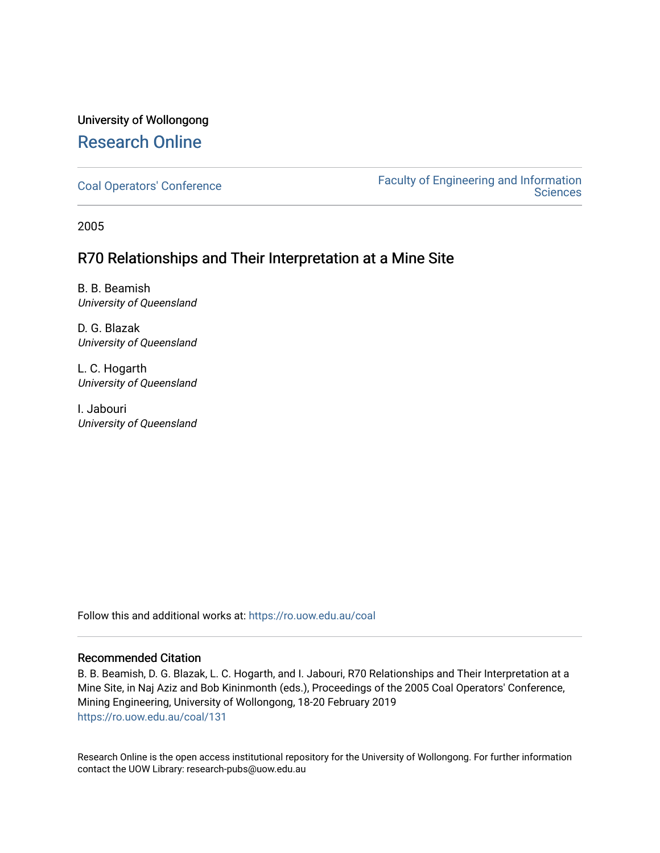# University of Wollongong [Research Online](https://ro.uow.edu.au/)

[Coal Operators' Conference](https://ro.uow.edu.au/coal) [Faculty of Engineering and Information](https://ro.uow.edu.au/eis)  **Sciences** 

2005

# R70 Relationships and Their Interpretation at a Mine Site

B. B. Beamish University of Queensland

D. G. Blazak University of Queensland

L. C. Hogarth University of Queensland

I. Jabouri University of Queensland

Follow this and additional works at: [https://ro.uow.edu.au/coal](https://ro.uow.edu.au/coal?utm_source=ro.uow.edu.au%2Fcoal%2F131&utm_medium=PDF&utm_campaign=PDFCoverPages) 

# Recommended Citation

B. B. Beamish, D. G. Blazak, L. C. Hogarth, and I. Jabouri, R70 Relationships and Their Interpretation at a Mine Site, in Naj Aziz and Bob Kininmonth (eds.), Proceedings of the 2005 Coal Operators' Conference, Mining Engineering, University of Wollongong, 18-20 February 2019 [https://ro.uow.edu.au/coal/131](https://ro.uow.edu.au/coal/131?utm_source=ro.uow.edu.au%2Fcoal%2F131&utm_medium=PDF&utm_campaign=PDFCoverPages) 

Research Online is the open access institutional repository for the University of Wollongong. For further information contact the UOW Library: research-pubs@uow.edu.au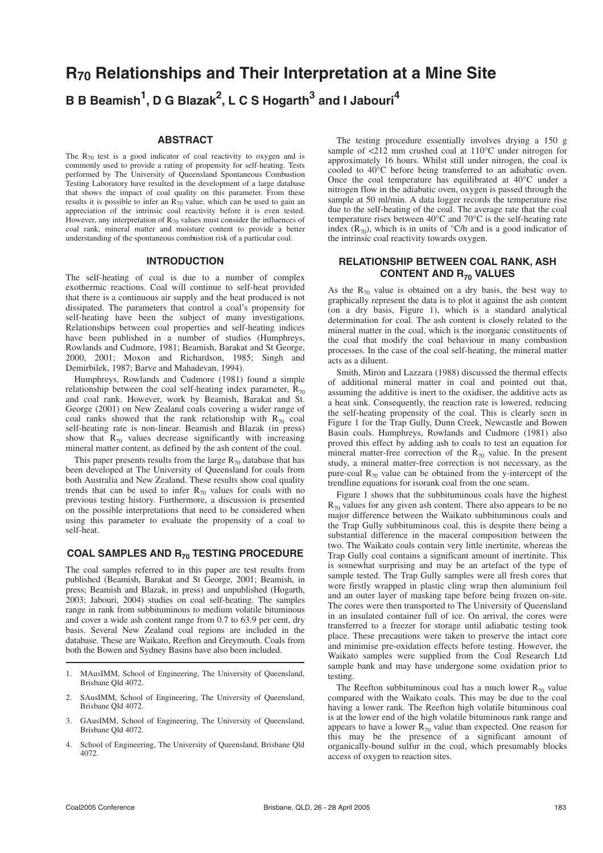# **R70 Relationships and Their Interpretation at a Mine Site B B Beamish1 , D G Blazak<sup>2</sup> , L C S Hogarth<sup>3</sup> and I Jabouri<sup>4</sup>**

#### **ABSTRACT**

The  $R_{70}$  test is a good indicator of coal reactivity to oxygen and is commonly used to provide a rating of propensity for self-heating. Tests performed by The University of Queensland Spontaneous Combustion Testing Laboratory have resulted in the development of a large database that shows the impact of coal quality on this parameter. From these results it is possible to infer an  $\overline{R}_{70}$  value, which can be used to gain an appreciation of the intrinsic coal reactivity before it is even tested. However, any interpretation of  $R_{70}$  values must consider the influences of coal rank, mineral matter and moisture content to provide a better understanding of the spontaneous combustion risk of a particular coal.

#### **INTRODUCTION**

The self-heating of coal is due to a number of complex exothermic reactions. Coal will continue to self-heat provided that there is a continuous air supply and the heat produced is not dissipated. The parameters that control a coal's propensity for self-heating have been the subject of many investigations. Relationships between coal properties and self-heating indices have been published in a number of studies (Humphreys, Rowlands and Cudmore, 1981; Beamish, Barakat and St George, 2000, 2001; Moxon and Richardson, 1985; Singh and Demirbilek, 1987; Barve and Mahadevan, 1994).

Humphreys, Rowlands and Cudmore (1981) found a simple relationship between the coal self-heating index parameter,  $R_{70}$ and coal rank. However, work by Beamish, Barakat and St. George (2001) on New Zealand coals covering a wider range of coal ranks showed that the rank relationship with  $R_{70}$  coal self-heating rate is non-linear. Beamish and Blazak (in press) show that  $R_{70}$  values decrease significantly with increasing mineral matter content, as defined by the ash content of the coal.

This paper presents results from the large  $R_{70}$  database that has been developed at The University of Queensland for coals from both Australia and New Zealand. These results show coal quality trends that can be used to infer  $R_{70}$  values for coals with no previous testing history. Furthermore, a discussion is presented on the possible interpretations that need to be considered when using this parameter to evaluate the propensity of a coal to self-heat.

## **COAL SAMPLES AND R70 TESTING PROCEDURE**

The coal samples referred to in this paper are test results from published (Beamish, Barakat and St George, 2001; Beamish, in press; Beamish and Blazak, in press) and unpublished (Hogarth, 2003; Jabouri, 2004) studies on coal self-heating. The samples range in rank from subbituminous to medium volatile bituminous and cover a wide ash content range from 0.7 to 63.9 per cent, dry basis. Several New Zealand coal regions are included in the database. These are Waikato, Reefton and Greymouth. Coals from both the Bowen and Sydney Basins have also been included.

- 1. MAusIMM, School of Engineering, The University of Queensland, Brisbane Qld 4072.
- 2. SAusIMM, School of Engineering, The University of Queensland, Brisbane Qld 4072.
- 3. GAusIMM, School of Engineering, The University of Queensland, Brisbane Qld 4072.
- 4. School of Engineering, The University of Queensland, Brisbane Qld 4072.

The testing procedure essentially involves drying a 150 g sample of  $\langle 212 \rangle$  mm crushed coal at 110°C under nitrogen for approximately 16 hours. Whilst still under nitrogen, the coal is cooled to 40°C before being transferred to an adiabatic oven. Once the coal temperature has equilibrated at 40°C under a nitrogen flow in the adiabatic oven, oxygen is passed through the sample at 50 ml/min. A data logger records the temperature rise due to the self-heating of the coal. The average rate that the coal temperature rises between 40°C and 70°C is the self-heating rate index  $(R_{70})$ , which is in units of  $°C/h$  and is a good indicator of the intrinsic coal reactivity towards oxygen.

## **RELATIONSHIP BETWEEN COAL RANK, ASH CONTENT AND R70 VALUES**

As the  $R_{70}$  value is obtained on a dry basis, the best way to graphically represent the data is to plot it against the ash content (on a dry basis, Figure 1), which is a standard analytical determination for coal. The ash content is closely related to the mineral matter in the coal, which is the inorganic constituents of the coal that modify the coal behaviour in many combustion processes. In the case of the coal self-heating, the mineral matter acts as a diluent.

Smith, Miron and Lazzara (1988) discussed the thermal effects of additional mineral matter in coal and pointed out that, assuming the additive is inert to the oxidiser, the additive acts as a heat sink. Consequently, the reaction rate is lowered, reducing the self-heating propensity of the coal. This is clearly seen in Figure 1 for the Trap Gully, Dunn Creek, Newcastle and Bowen Basin coals. Humphreys, Rowlands and Cudmore (1981) also proved this effect by adding ash to coals to test an equation for mineral matter-free correction of the  $R_{70}$  value. In the present study, a mineral matter-free correction is not necessary, as the pure-coal  $R_{70}$  value can be obtained from the y-intercept of the trendline equations for isorank coal from the one seam.

Figure 1 shows that the subbituminous coals have the highest  $R_{70}$  values for any given ash content. There also appears to be no major difference between the Waikato subbituminous coals and the Trap Gully subbituminous coal, this is despite there being a substantial difference in the maceral composition between the two. The Waikato coals contain very little inertinite, whereas the Trap Gully coal contains a significant amount of inertinite. This is somewhat surprising and may be an artefact of the type of sample tested. The Trap Gully samples were all fresh cores that were firstly wrapped in plastic cling wrap then aluminium foil and an outer layer of masking tape before being frozen on-site. The cores were then transported to The University of Queensland in an insulated container full of ice. On arrival, the cores were transferred to a freezer for storage until adiabatic testing took place. These precautions were taken to preserve the intact core and minimise pre-oxidation effects before testing. However, the Waikato samples were supplied from the Coal Research Ltd sample bank and may have undergone some oxidation prior to testing.

The Reefton subbituminous coal has a much lower  $R_{70}$  value compared with the Waikato coals. This may be due to the coal having a lower rank. The Reefton high volatile bituminous coal is at the lower end of the high volatile bituminous rank range and appears to have a lower  $R_{70}$  value than expected. One reason for this may be the presence of a significant amount of organically-bound sulfur in the coal, which presumably blocks access of oxygen to reaction sites.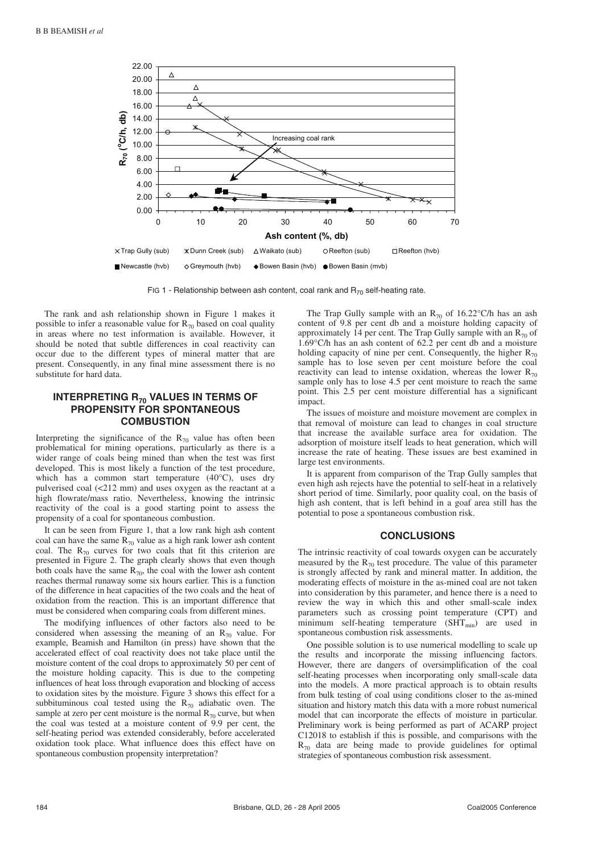

FIG 1 - Relationship between ash content, coal rank and  $R_{70}$  self-heating rate.

The rank and ash relationship shown in Figure 1 makes it possible to infer a reasonable value for  $R_{70}$  based on coal quality in areas where no test information is available. However, it should be noted that subtle differences in coal reactivity can occur due to the different types of mineral matter that are present. Consequently, in any final mine assessment there is no substitute for hard data.

# **INTERPRETING R70 VALUES IN TERMS OF PROPENSITY FOR SPONTANEOUS COMBUSTION**

Interpreting the significance of the  $R_{70}$  value has often been problematical for mining operations, particularly as there is a wider range of coals being mined than when the test was first developed. This is most likely a function of the test procedure, which has a common start temperature (40°C), uses dry pulverised coal (<212 mm) and uses oxygen as the reactant at a high flowrate/mass ratio. Nevertheless, knowing the intrinsic reactivity of the coal is a good starting point to assess the propensity of a coal for spontaneous combustion.

It can be seen from Figure 1, that a low rank high ash content coal can have the same  $\overline{R}_{70}$  value as a high rank lower ash content coal. The  $R_{70}$  curves for two coals that fit this criterion are presented in Figure 2. The graph clearly shows that even though both coals have the same  $R_{70}$ , the coal with the lower ash content reaches thermal runaway some six hours earlier. This is a function of the difference in heat capacities of the two coals and the heat of oxidation from the reaction. This is an important difference that must be considered when comparing coals from different mines.

The modifying influences of other factors also need to be considered when assessing the meaning of an  $R_{70}$  value. For example, Beamish and Hamilton (in press) have shown that the accelerated effect of coal reactivity does not take place until the moisture content of the coal drops to approximately 50 per cent of the moisture holding capacity. This is due to the competing influences of heat loss through evaporation and blocking of access to oxidation sites by the moisture. Figure 3 shows this effect for a subbituminous coal tested using the  $R_{70}$  adiabatic oven. The sample at zero per cent moisture is the normal  $R_{70}$  curve, but when the coal was tested at a moisture content of 9.9 per cent, the self-heating period was extended considerably, before accelerated oxidation took place. What influence does this effect have on spontaneous combustion propensity interpretation?

The Trap Gully sample with an  $R_{70}$  of 16.22°C/h has an ash content of 9.8 per cent db and a moisture holding capacity of approximately 14 per cent. The Trap Gully sample with an  $R_{70}$  of 1.69°C/h has an ash content of 62.2 per cent db and a moisture holding capacity of nine per cent. Consequently, the higher  $R_{70}$ sample has to lose seven per cent moisture before the coal reactivity can lead to intense oxidation, whereas the lower  $R_{70}$ sample only has to lose 4.5 per cent moisture to reach the same point. This 2.5 per cent moisture differential has a significant impact.

The issues of moisture and moisture movement are complex in that removal of moisture can lead to changes in coal structure that increase the available surface area for oxidation. The adsorption of moisture itself leads to heat generation, which will increase the rate of heating. These issues are best examined in large test environments.

It is apparent from comparison of the Trap Gully samples that even high ash rejects have the potential to self-heat in a relatively short period of time. Similarly, poor quality coal, on the basis of high ash content, that is left behind in a goaf area still has the potential to pose a spontaneous combustion risk.

#### **CONCLUSIONS**

The intrinsic reactivity of coal towards oxygen can be accurately measured by the  $R_{70}$  test procedure. The value of this parameter is strongly affected by rank and mineral matter. In addition, the moderating effects of moisture in the as-mined coal are not taken into consideration by this parameter, and hence there is a need to review the way in which this and other small-scale index parameters such as crossing point temperature (CPT) and minimum self-heating temperature  $(SHT_{min})$  are used in spontaneous combustion risk assessments.

One possible solution is to use numerical modelling to scale up the results and incorporate the missing influencing factors. However, there are dangers of oversimplification of the coal self-heating processes when incorporating only small-scale data into the models. A more practical approach is to obtain results from bulk testing of coal using conditions closer to the as-mined situation and history match this data with a more robust numerical model that can incorporate the effects of moisture in particular. Preliminary work is being performed as part of ACARP project C12018 to establish if this is possible, and comparisons with the  $R_{70}$  data are being made to provide guidelines for optimal strategies of spontaneous combustion risk assessment.